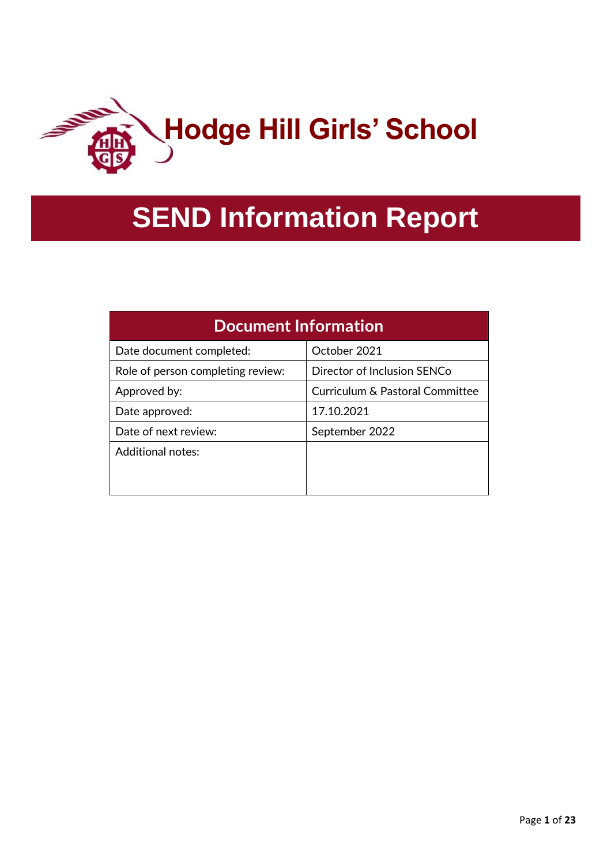

# **SEND Information Report**

| <b>Document Information</b>       |                                 |  |  |
|-----------------------------------|---------------------------------|--|--|
| Date document completed:          | October 2021                    |  |  |
| Role of person completing review: | Director of Inclusion SENCo     |  |  |
| Approved by:                      | Curriculum & Pastoral Committee |  |  |
| Date approved:                    | 17.10.2021                      |  |  |
| Date of next review:              | September 2022                  |  |  |
| Additional notes:                 |                                 |  |  |
|                                   |                                 |  |  |
|                                   |                                 |  |  |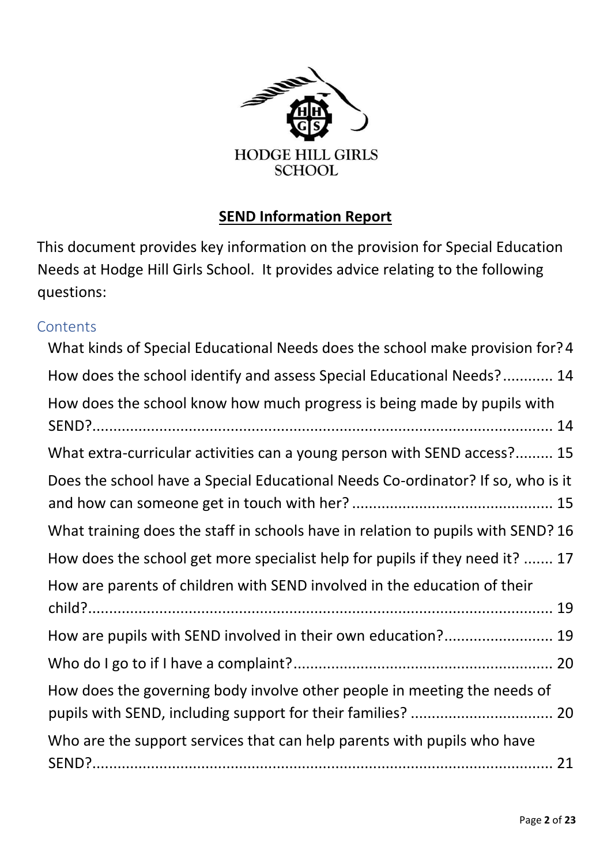

## **SEND Information Report**

This document provides key information on the provision for Special Education Needs at Hodge Hill Girls School. It provides advice relating to the following questions:

## **Contents**

| What kinds of Special Educational Needs does the school make provision for? 4    |
|----------------------------------------------------------------------------------|
| How does the school identify and assess Special Educational Needs? 14            |
| How does the school know how much progress is being made by pupils with          |
| What extra-curricular activities can a young person with SEND access? 15         |
| Does the school have a Special Educational Needs Co-ordinator? If so, who is it  |
| What training does the staff in schools have in relation to pupils with SEND? 16 |
| How does the school get more specialist help for pupils if they need it?  17     |
| How are parents of children with SEND involved in the education of their         |
| How are pupils with SEND involved in their own education? 19                     |
|                                                                                  |
| How does the governing body involve other people in meeting the needs of         |
| Who are the support services that can help parents with pupils who have          |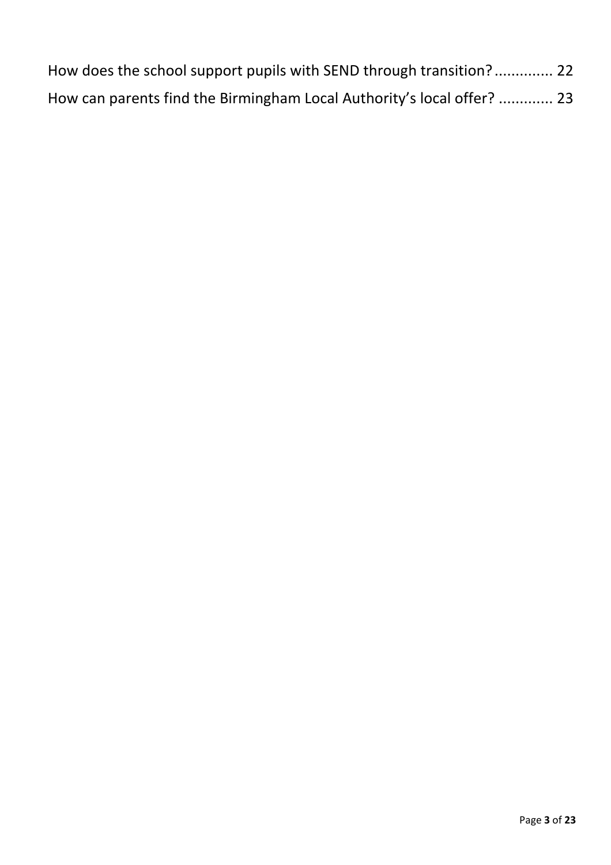| How does the school support pupils with SEND through transition? 22    |  |
|------------------------------------------------------------------------|--|
| How can parents find the Birmingham Local Authority's local offer?  23 |  |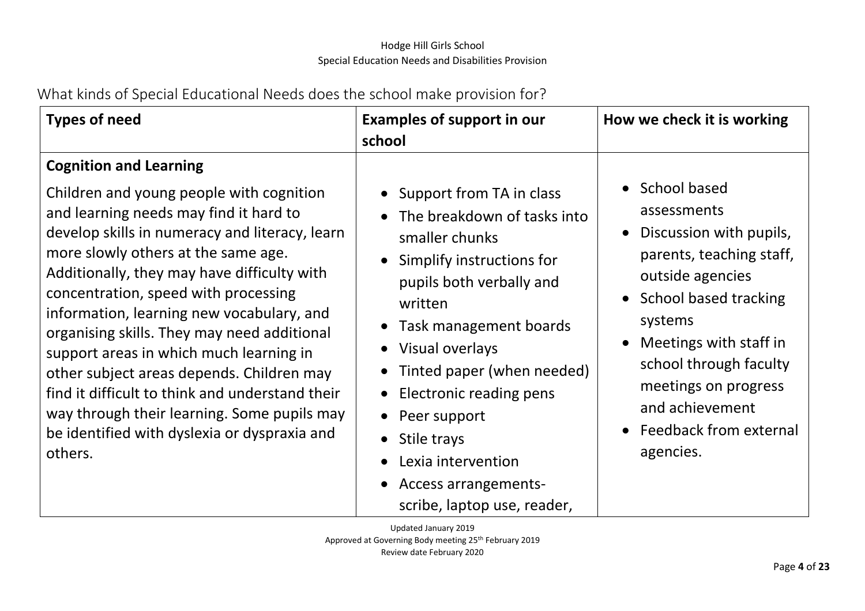What kinds of Special Educational Needs does the school make provision for?

<span id="page-3-0"></span>

| <b>Types of need</b>                                                                                                                                                                                                                                                                                                                                                                                                                                                                                                                                                                                                                                 | <b>Examples of support in our</b><br>school                                                                                                                                                                                                                                                                                                                                                                                                                                                     | How we check it is working                                                                                                                                                                                                                                                                  |
|------------------------------------------------------------------------------------------------------------------------------------------------------------------------------------------------------------------------------------------------------------------------------------------------------------------------------------------------------------------------------------------------------------------------------------------------------------------------------------------------------------------------------------------------------------------------------------------------------------------------------------------------------|-------------------------------------------------------------------------------------------------------------------------------------------------------------------------------------------------------------------------------------------------------------------------------------------------------------------------------------------------------------------------------------------------------------------------------------------------------------------------------------------------|---------------------------------------------------------------------------------------------------------------------------------------------------------------------------------------------------------------------------------------------------------------------------------------------|
| <b>Cognition and Learning</b><br>Children and young people with cognition<br>and learning needs may find it hard to<br>develop skills in numeracy and literacy, learn<br>more slowly others at the same age.<br>Additionally, they may have difficulty with<br>concentration, speed with processing<br>information, learning new vocabulary, and<br>organising skills. They may need additional<br>support areas in which much learning in<br>other subject areas depends. Children may<br>find it difficult to think and understand their<br>way through their learning. Some pupils may<br>be identified with dyslexia or dyspraxia and<br>others. | • Support from TA in class<br>The breakdown of tasks into<br>$\bullet$<br>smaller chunks<br>Simplify instructions for<br>$\bullet$<br>pupils both verbally and<br>written<br>• Task management boards<br>Visual overlays<br>$\bullet$<br>Tinted paper (when needed)<br>$\bullet$<br>Electronic reading pens<br>$\bullet$<br>Peer support<br>$\bullet$<br>Stile trays<br>$\bullet$<br>Lexia intervention<br>$\bullet$<br><b>Access arrangements-</b><br>$\bullet$<br>scribe, laptop use, reader, | • School based<br>assessments<br>Discussion with pupils,<br>parents, teaching staff,<br>outside agencies<br>• School based tracking<br>systems<br>Meetings with staff in<br>school through faculty<br>meetings on progress<br>and achievement<br><b>Feedback from external</b><br>agencies. |

Updated January 2019 Approved at Governing Body meeting 25th February 2019 Review date February 2020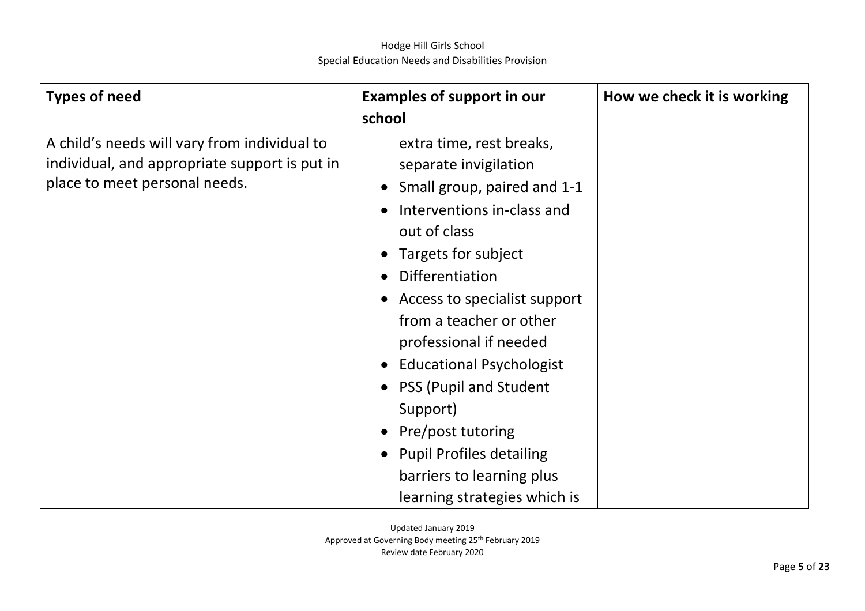| <b>Types of need</b>                                                                                                           | <b>Examples of support in our</b><br>school                                                                                                                                                                                                                                                                                                                                                                                                                                                                                             | How we check it is working |
|--------------------------------------------------------------------------------------------------------------------------------|-----------------------------------------------------------------------------------------------------------------------------------------------------------------------------------------------------------------------------------------------------------------------------------------------------------------------------------------------------------------------------------------------------------------------------------------------------------------------------------------------------------------------------------------|----------------------------|
| A child's needs will vary from individual to<br>individual, and appropriate support is put in<br>place to meet personal needs. | extra time, rest breaks,<br>separate invigilation<br>Small group, paired and 1-1<br>$\bullet$<br>Interventions in-class and<br>$\bullet$<br>out of class<br>Targets for subject<br>$\bullet$<br><b>Differentiation</b><br>$\bullet$<br>• Access to specialist support<br>from a teacher or other<br>professional if needed<br><b>Educational Psychologist</b><br>$\bullet$<br>• PSS (Pupil and Student<br>Support)<br>Pre/post tutoring<br><b>Pupil Profiles detailing</b><br>barriers to learning plus<br>learning strategies which is |                            |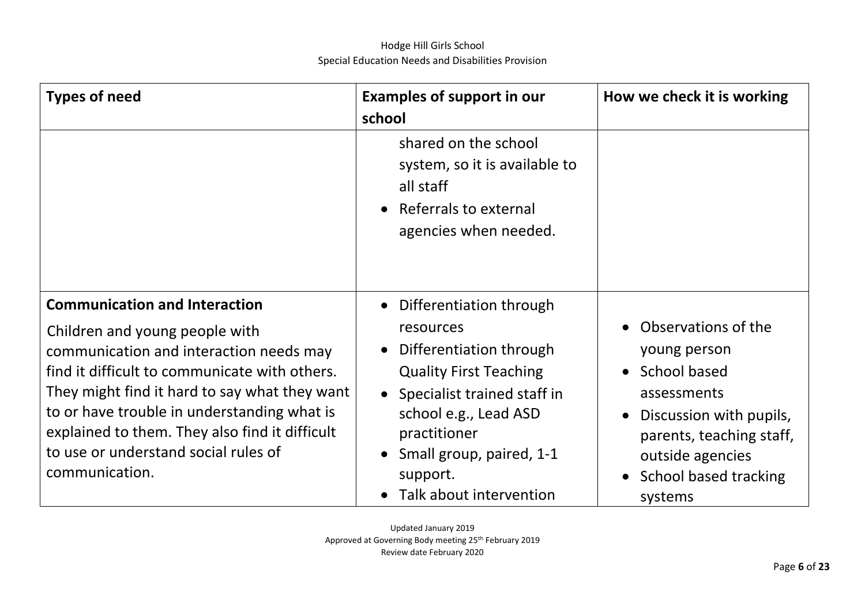| <b>Types of need</b>                                                                                                                                                                                                                                                                                                                                                           | <b>Examples of support in our</b><br>school                                                                                                                                                                                                                             | How we check it is working                                                                                                                                                                   |
|--------------------------------------------------------------------------------------------------------------------------------------------------------------------------------------------------------------------------------------------------------------------------------------------------------------------------------------------------------------------------------|-------------------------------------------------------------------------------------------------------------------------------------------------------------------------------------------------------------------------------------------------------------------------|----------------------------------------------------------------------------------------------------------------------------------------------------------------------------------------------|
|                                                                                                                                                                                                                                                                                                                                                                                | shared on the school<br>system, so it is available to<br>all staff<br>Referrals to external<br>$\bullet$<br>agencies when needed.                                                                                                                                       |                                                                                                                                                                                              |
| <b>Communication and Interaction</b><br>Children and young people with<br>communication and interaction needs may<br>find it difficult to communicate with others.<br>They might find it hard to say what they want<br>to or have trouble in understanding what is<br>explained to them. They also find it difficult<br>to use or understand social rules of<br>communication. | • Differentiation through<br>resources<br>Differentiation through<br>$\bullet$<br><b>Quality First Teaching</b><br>Specialist trained staff in<br>$\bullet$<br>school e.g., Lead ASD<br>practitioner<br>Small group, paired, 1-1<br>support.<br>Talk about intervention | • Observations of the<br>young person<br>• School based<br>assessments<br>Discussion with pupils,<br>parents, teaching staff,<br>outside agencies<br><b>School based tracking</b><br>systems |

Updated January 2019 Approved at Governing Body meeting 25th February 2019 Review date February 2020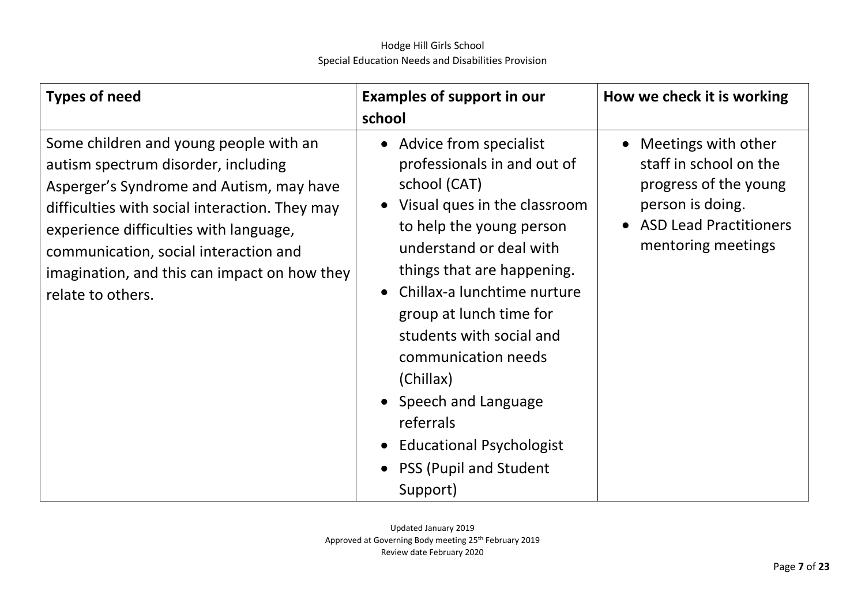| <b>Types of need</b>                                                                                                                                                                                                                                                                                                                | <b>Examples of support in our</b><br>school                                                                                                                                                                                                                                                                                                                                                                                                                              | How we check it is working                                                                                                                   |
|-------------------------------------------------------------------------------------------------------------------------------------------------------------------------------------------------------------------------------------------------------------------------------------------------------------------------------------|--------------------------------------------------------------------------------------------------------------------------------------------------------------------------------------------------------------------------------------------------------------------------------------------------------------------------------------------------------------------------------------------------------------------------------------------------------------------------|----------------------------------------------------------------------------------------------------------------------------------------------|
| Some children and young people with an<br>autism spectrum disorder, including<br>Asperger's Syndrome and Autism, may have<br>difficulties with social interaction. They may<br>experience difficulties with language,<br>communication, social interaction and<br>imagination, and this can impact on how they<br>relate to others. | • Advice from specialist<br>professionals in and out of<br>school (CAT)<br>• Visual ques in the classroom<br>to help the young person<br>understand or deal with<br>things that are happening.<br>Chillax-a lunchtime nurture<br>$\bullet$<br>group at lunch time for<br>students with social and<br>communication needs<br>(Chillax)<br>• Speech and Language<br>referrals<br><b>Educational Psychologist</b><br>$\bullet$<br><b>PSS (Pupil and Student</b><br>Support) | Meetings with other<br>staff in school on the<br>progress of the young<br>person is doing.<br>• ASD Lead Practitioners<br>mentoring meetings |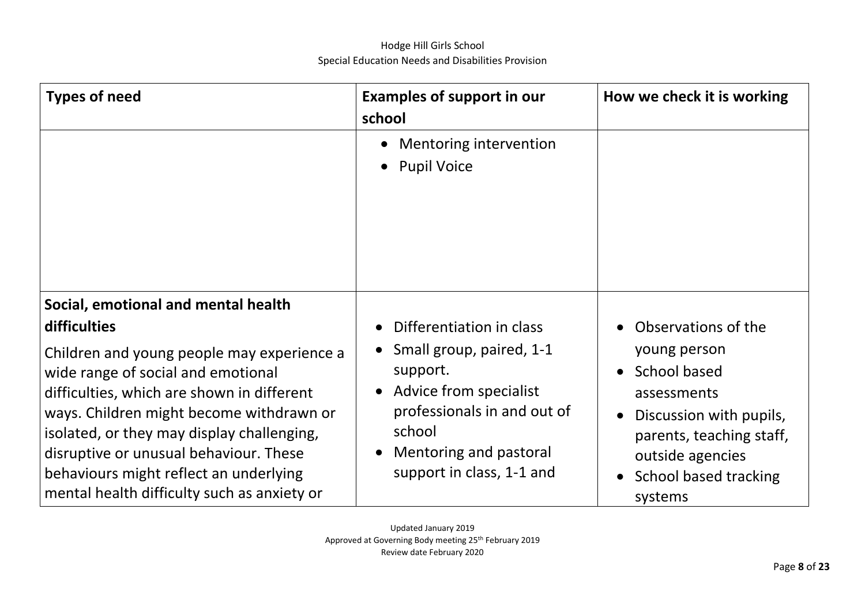| <b>Types of need</b>                                                                                                                                                                                                                                                                                                                                        | <b>Examples of support in our</b><br>school                                                                                                                    | How we check it is working                                                                                                                                                                        |
|-------------------------------------------------------------------------------------------------------------------------------------------------------------------------------------------------------------------------------------------------------------------------------------------------------------------------------------------------------------|----------------------------------------------------------------------------------------------------------------------------------------------------------------|---------------------------------------------------------------------------------------------------------------------------------------------------------------------------------------------------|
|                                                                                                                                                                                                                                                                                                                                                             | Mentoring intervention<br>$\bullet$<br><b>Pupil Voice</b><br>$\bullet$                                                                                         |                                                                                                                                                                                                   |
| Social, emotional and mental health<br>difficulties                                                                                                                                                                                                                                                                                                         | Differentiation in class                                                                                                                                       | Observations of the                                                                                                                                                                               |
| Children and young people may experience a<br>wide range of social and emotional<br>difficulties, which are shown in different<br>ways. Children might become withdrawn or<br>isolated, or they may display challenging,<br>disruptive or unusual behaviour. These<br>behaviours might reflect an underlying<br>mental health difficulty such as anxiety or | Small group, paired, 1-1<br>support.<br>Advice from specialist<br>professionals in and out of<br>school<br>Mentoring and pastoral<br>support in class, 1-1 and | young person<br>School based<br>$\bullet$<br>assessments<br>Discussion with pupils,<br>$\bullet$<br>parents, teaching staff,<br>outside agencies<br>School based tracking<br>$\bullet$<br>systems |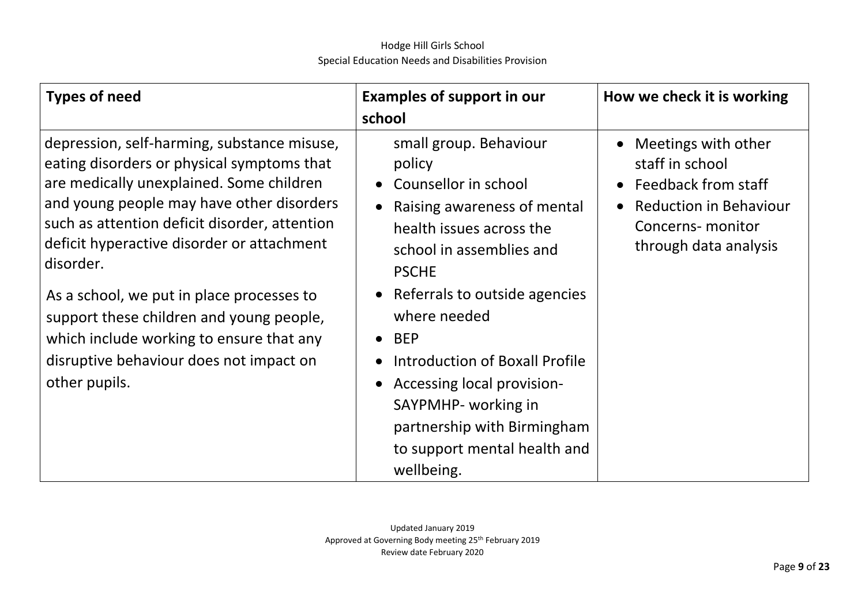| <b>Types of need</b>                                                                                                                                                                                                                                                                                                                                                                                                                                                                            | <b>Examples of support in our</b><br>school                                                                                                                                                                                                                                                                                                                                                                    | How we check it is working                                                                                                                                                          |
|-------------------------------------------------------------------------------------------------------------------------------------------------------------------------------------------------------------------------------------------------------------------------------------------------------------------------------------------------------------------------------------------------------------------------------------------------------------------------------------------------|----------------------------------------------------------------------------------------------------------------------------------------------------------------------------------------------------------------------------------------------------------------------------------------------------------------------------------------------------------------------------------------------------------------|-------------------------------------------------------------------------------------------------------------------------------------------------------------------------------------|
| depression, self-harming, substance misuse,<br>eating disorders or physical symptoms that<br>are medically unexplained. Some children<br>and young people may have other disorders<br>such as attention deficit disorder, attention<br>deficit hyperactive disorder or attachment<br>disorder.<br>As a school, we put in place processes to<br>support these children and young people,<br>which include working to ensure that any<br>disruptive behaviour does not impact on<br>other pupils. | small group. Behaviour<br>policy<br>Counsellor in school<br>Raising awareness of mental<br>health issues across the<br>school in assemblies and<br><b>PSCHE</b><br>• Referrals to outside agencies<br>where needed<br>$\bullet$ BEP<br><b>Introduction of Boxall Profile</b><br>Accessing local provision-<br>SAYPMHP- working in<br>partnership with Birmingham<br>to support mental health and<br>wellbeing. | Meetings with other<br>$\bullet$<br>staff in school<br>Feedback from staff<br>$\bullet$<br><b>Reduction in Behaviour</b><br>$\bullet$<br>Concerns- monitor<br>through data analysis |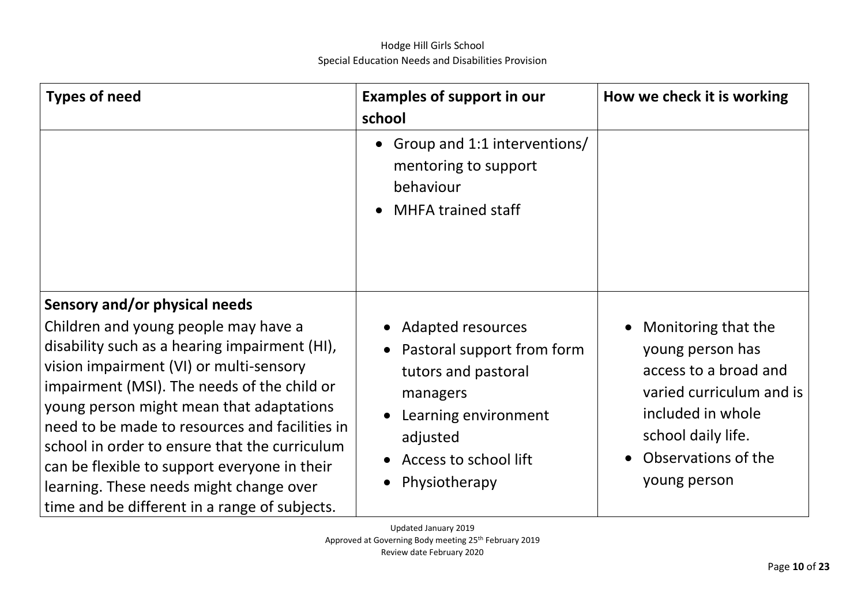| <b>Types of need</b>                                                                                                                                                                                                                                                                                                                                                                                                                                                                                        | <b>Examples of support in our</b><br>school                                                                                                                               | How we check it is working                                                                                                                                                     |
|-------------------------------------------------------------------------------------------------------------------------------------------------------------------------------------------------------------------------------------------------------------------------------------------------------------------------------------------------------------------------------------------------------------------------------------------------------------------------------------------------------------|---------------------------------------------------------------------------------------------------------------------------------------------------------------------------|--------------------------------------------------------------------------------------------------------------------------------------------------------------------------------|
|                                                                                                                                                                                                                                                                                                                                                                                                                                                                                                             | Group and 1:1 interventions/<br>mentoring to support<br>behaviour<br><b>MHFA trained staff</b>                                                                            |                                                                                                                                                                                |
| Sensory and/or physical needs<br>Children and young people may have a<br>disability such as a hearing impairment (HI),<br>vision impairment (VI) or multi-sensory<br>impairment (MSI). The needs of the child or<br>young person might mean that adaptations<br>need to be made to resources and facilities in<br>school in order to ensure that the curriculum<br>can be flexible to support everyone in their<br>learning. These needs might change over<br>time and be different in a range of subjects. | <b>Adapted resources</b><br>• Pastoral support from form<br>tutors and pastoral<br>managers<br>Learning environment<br>adjusted<br>Access to school lift<br>Physiotherapy | Monitoring that the<br>young person has<br>access to a broad and<br>varied curriculum and is<br>included in whole<br>school daily life.<br>Observations of the<br>young person |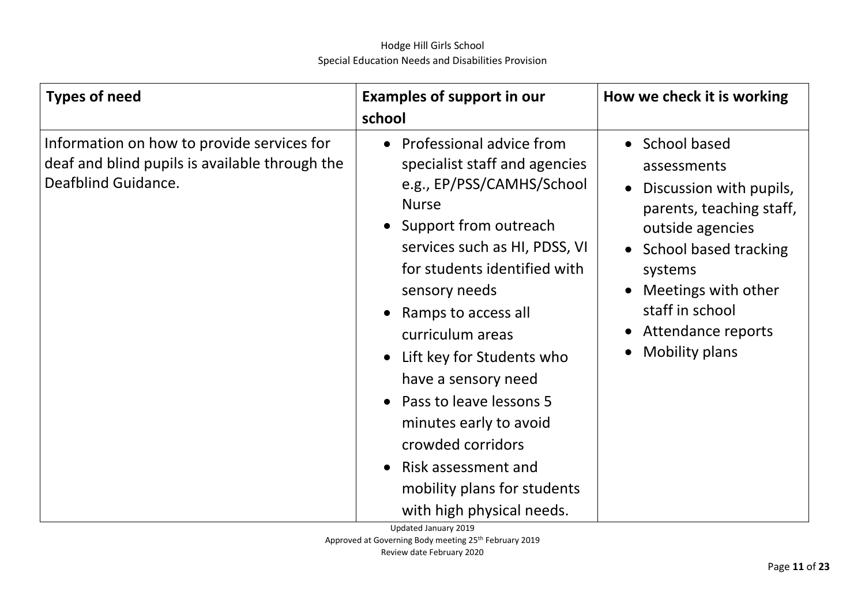| <b>Types of need</b>                                                                                                | <b>Examples of support in our</b><br>school                                                                                                                                                                                                                                                                                                                                                                                                                                       | How we check it is working                                                                                                                                                                                                                                                                       |
|---------------------------------------------------------------------------------------------------------------------|-----------------------------------------------------------------------------------------------------------------------------------------------------------------------------------------------------------------------------------------------------------------------------------------------------------------------------------------------------------------------------------------------------------------------------------------------------------------------------------|--------------------------------------------------------------------------------------------------------------------------------------------------------------------------------------------------------------------------------------------------------------------------------------------------|
| Information on how to provide services for<br>deaf and blind pupils is available through the<br>Deafblind Guidance. | • Professional advice from<br>specialist staff and agencies<br>e.g., EP/PSS/CAMHS/School<br><b>Nurse</b><br>• Support from outreach<br>services such as HI, PDSS, VI<br>for students identified with<br>sensory needs<br>Ramps to access all<br>curriculum areas<br>Lift key for Students who<br>have a sensory need<br>Pass to leave lessons 5<br>minutes early to avoid<br>crowded corridors<br>Risk assessment and<br>mobility plans for students<br>with high physical needs. | • School based<br>assessments<br>Discussion with pupils,<br>$\bullet$<br>parents, teaching staff,<br>outside agencies<br><b>School based tracking</b><br>$\bullet$<br>systems<br>Meetings with other<br>staff in school<br>Attendance reports<br>$\bullet$<br><b>Mobility plans</b><br>$\bullet$ |

Updated January 2019 Approved at Governing Body meeting 25th February 2019 Review date February 2020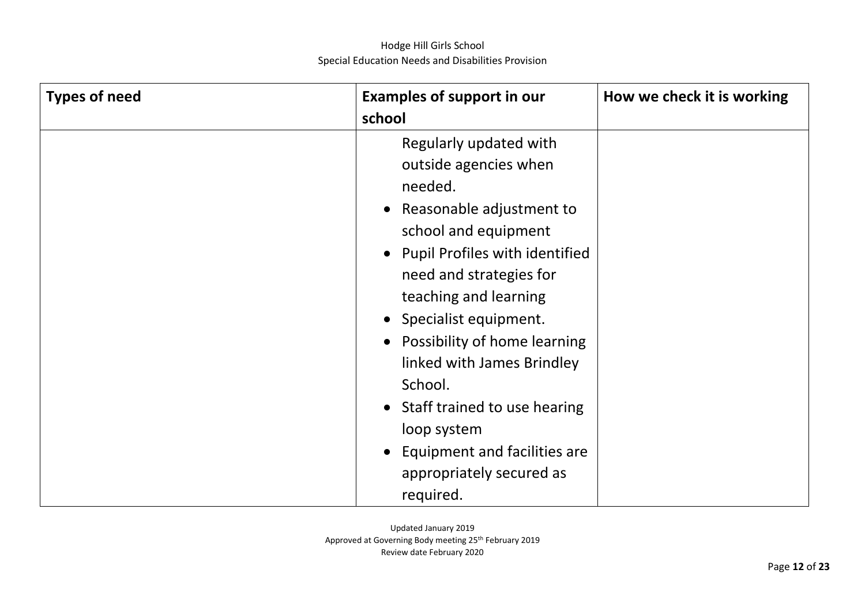| <b>Types of need</b> | <b>Examples of support in our</b><br>school                                                                                                                                                                                                                                                                                                     | How we check it is working |
|----------------------|-------------------------------------------------------------------------------------------------------------------------------------------------------------------------------------------------------------------------------------------------------------------------------------------------------------------------------------------------|----------------------------|
|                      | Regularly updated with<br>outside agencies when<br>needed.<br>Reasonable adjustment to<br>$\bullet$<br>school and equipment<br>• Pupil Profiles with identified<br>need and strategies for<br>teaching and learning<br>Specialist equipment.<br>$\bullet$<br>Possibility of home learning<br>$\bullet$<br>linked with James Brindley<br>School. |                            |
|                      | Staff trained to use hearing<br>$\bullet$<br>loop system<br>Equipment and facilities are<br>$\bullet$<br>appropriately secured as<br>required.                                                                                                                                                                                                  |                            |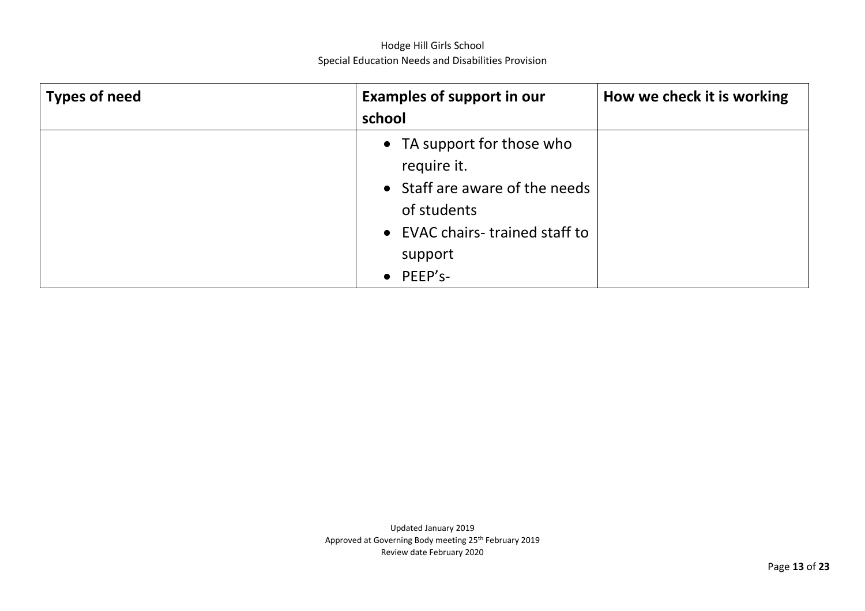| Types of need | <b>Examples of support in our</b>                                                                                            | How we check it is working |
|---------------|------------------------------------------------------------------------------------------------------------------------------|----------------------------|
|               | school                                                                                                                       |                            |
|               | • TA support for those who<br>require it.<br>• Staff are aware of the needs<br>of students<br>• EVAC chairs-trained staff to |                            |
|               | support                                                                                                                      |                            |
|               | $\bullet$ PEEP's-                                                                                                            |                            |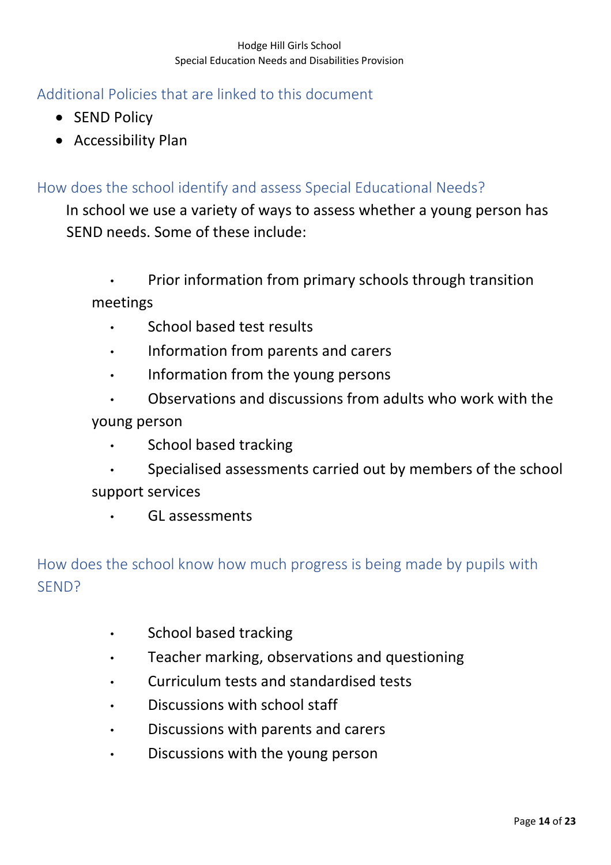## <span id="page-13-0"></span>Additional Policies that are linked to this document

- SEND Policy
- Accessibility Plan

## How does the school identify and assess Special Educational Needs?

In school we use a variety of ways to assess whether a young person has SEND needs. Some of these include:

• Prior information from primary schools through transition meetings

- School based test results
- Information from parents and carers
- Information from the young persons
- Observations and discussions from adults who work with the young person
	- School based tracking
- Specialised assessments carried out by members of the school support services
	- GL assessments

# <span id="page-13-1"></span>How does the school know how much progress is being made by pupils with SEND?

- School based tracking
- Teacher marking, observations and questioning
- Curriculum tests and standardised tests
- Discussions with school staff
- Discussions with parents and carers
- Discussions with the young person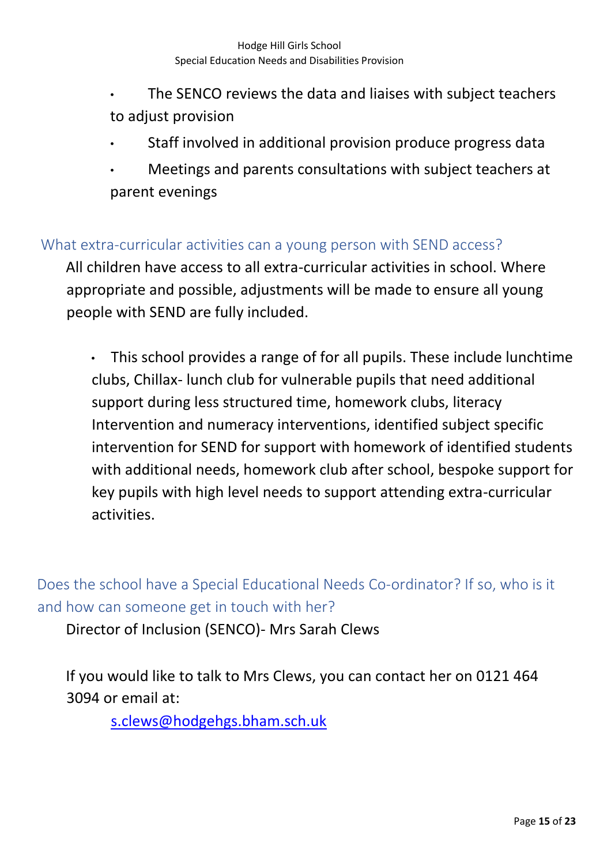- The SENCO reviews the data and liaises with subject teachers to adjust provision
- Staff involved in additional provision produce progress data
- Meetings and parents consultations with subject teachers at parent evenings

### <span id="page-14-0"></span>What extra-curricular activities can a young person with SEND access?

All children have access to all extra-curricular activities in school. Where appropriate and possible, adjustments will be made to ensure all young people with SEND are fully included.

• This school provides a range of for all pupils. These include lunchtime clubs, Chillax- lunch club for vulnerable pupils that need additional support during less structured time, homework clubs, literacy Intervention and numeracy interventions, identified subject specific intervention for SEND for support with homework of identified students with additional needs, homework club after school, bespoke support for key pupils with high level needs to support attending extra-curricular activities.

<span id="page-14-1"></span>Does the school have a Special Educational Needs Co-ordinator? If so, who is it and how can someone get in touch with her?

Director of Inclusion (SENCO)- Mrs Sarah Clews

If you would like to talk to Mrs Clews, you can contact her on 0121 464 3094 or email at:

s.clews@hodgehgs.bham.sch.uk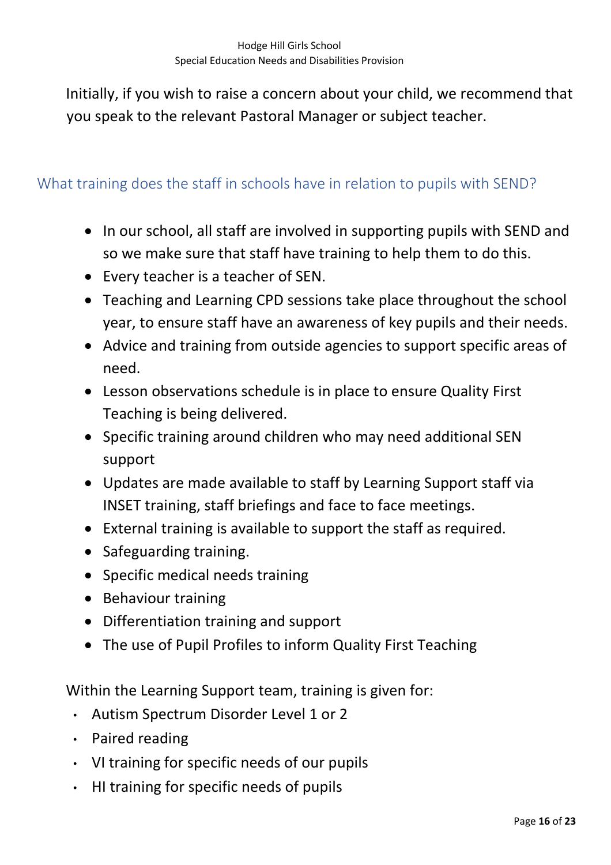Initially, if you wish to raise a concern about your child, we recommend that you speak to the relevant Pastoral Manager or subject teacher.

## <span id="page-15-0"></span>What training does the staff in schools have in relation to pupils with SEND?

- In our school, all staff are involved in supporting pupils with SEND and so we make sure that staff have training to help them to do this.
- Every teacher is a teacher of SEN.
- Teaching and Learning CPD sessions take place throughout the school year, to ensure staff have an awareness of key pupils and their needs.
- Advice and training from outside agencies to support specific areas of need.
- Lesson observations schedule is in place to ensure Quality First Teaching is being delivered.
- Specific training around children who may need additional SEN support
- Updates are made available to staff by Learning Support staff via INSET training, staff briefings and face to face meetings.
- External training is available to support the staff as required.
- Safeguarding training.
- Specific medical needs training
- Behaviour training
- Differentiation training and support
- The use of Pupil Profiles to inform Quality First Teaching

Within the Learning Support team, training is given for:

- Autism Spectrum Disorder Level 1 or 2
- Paired reading
- VI training for specific needs of our pupils
- HI training for specific needs of pupils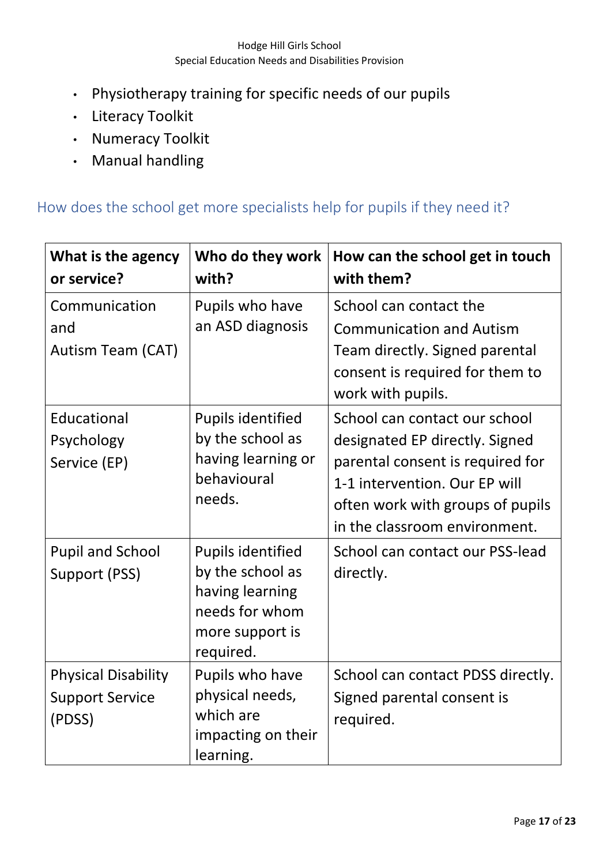- Physiotherapy training for specific needs of our pupils
- Literacy Toolkit
- Numeracy Toolkit
- Manual handling

## <span id="page-16-0"></span>How does the school get more specialists help for pupils if they need it?

| What is the agency<br>or service?                              | Who do they work<br>with?                                                                                         | How can the school get in touch<br>with them?                                                                                                                                                             |
|----------------------------------------------------------------|-------------------------------------------------------------------------------------------------------------------|-----------------------------------------------------------------------------------------------------------------------------------------------------------------------------------------------------------|
| Communication<br>and<br><b>Autism Team (CAT)</b>               | Pupils who have<br>an ASD diagnosis                                                                               | School can contact the<br><b>Communication and Autism</b><br>Team directly. Signed parental<br>consent is required for them to<br>work with pupils.                                                       |
| Educational<br>Psychology<br>Service (EP)                      | <b>Pupils identified</b><br>by the school as<br>having learning or<br>behavioural<br>needs.                       | School can contact our school<br>designated EP directly. Signed<br>parental consent is required for<br>1-1 intervention. Our EP will<br>often work with groups of pupils<br>in the classroom environment. |
| <b>Pupil and School</b><br>Support (PSS)                       | <b>Pupils identified</b><br>by the school as<br>having learning<br>needs for whom<br>more support is<br>required. | School can contact our PSS-lead<br>directly.                                                                                                                                                              |
| <b>Physical Disability</b><br><b>Support Service</b><br>(PDSS) | Pupils who have<br>physical needs,<br>which are<br>impacting on their<br>learning.                                | School can contact PDSS directly.<br>Signed parental consent is<br>required.                                                                                                                              |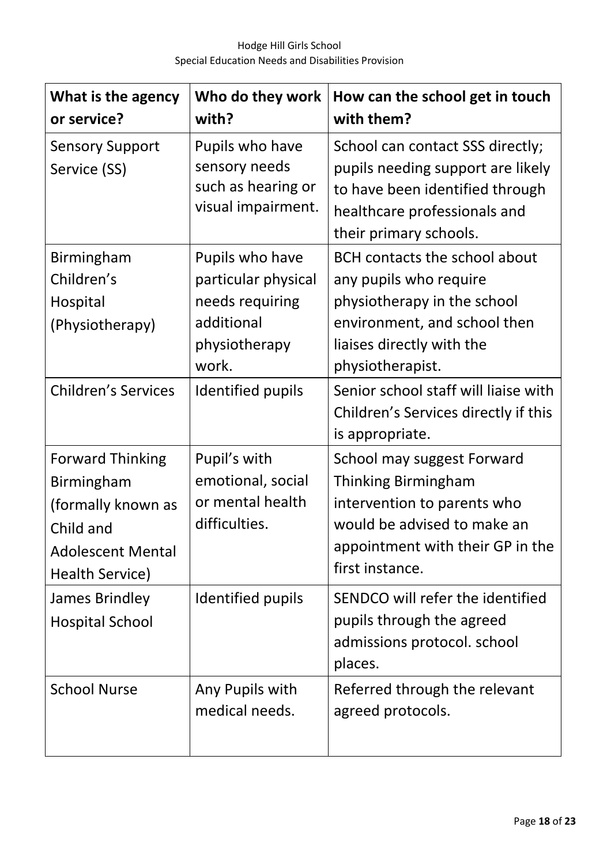| What is the agency<br>or service?                                                                                       | Who do they work<br>with?                                                                         | How can the school get in touch<br>with them?                                                                                                                                  |
|-------------------------------------------------------------------------------------------------------------------------|---------------------------------------------------------------------------------------------------|--------------------------------------------------------------------------------------------------------------------------------------------------------------------------------|
| <b>Sensory Support</b><br>Service (SS)                                                                                  | Pupils who have<br>sensory needs<br>such as hearing or<br>visual impairment.                      | School can contact SSS directly;<br>pupils needing support are likely<br>to have been identified through<br>healthcare professionals and<br>their primary schools.             |
| Birmingham<br>Children's<br>Hospital<br>(Physiotherapy)                                                                 | Pupils who have<br>particular physical<br>needs requiring<br>additional<br>physiotherapy<br>work. | <b>BCH contacts the school about</b><br>any pupils who require<br>physiotherapy in the school<br>environment, and school then<br>liaises directly with the<br>physiotherapist. |
| <b>Children's Services</b>                                                                                              | Identified pupils                                                                                 | Senior school staff will liaise with<br>Children's Services directly if this<br>is appropriate.                                                                                |
| <b>Forward Thinking</b><br>Birmingham<br>(formally known as<br>Child and<br><b>Adolescent Mental</b><br>Health Service) | Pupil's with<br>emotional, social<br>or mental health<br>difficulties.                            | School may suggest Forward<br><b>Thinking Birmingham</b><br>intervention to parents who<br>would be advised to make an<br>appointment with their GP in the<br>first instance.  |
| James Brindley<br><b>Hospital School</b>                                                                                | Identified pupils                                                                                 | SENDCO will refer the identified<br>pupils through the agreed<br>admissions protocol. school<br>places.                                                                        |
| <b>School Nurse</b>                                                                                                     | Any Pupils with<br>medical needs.                                                                 | Referred through the relevant<br>agreed protocols.                                                                                                                             |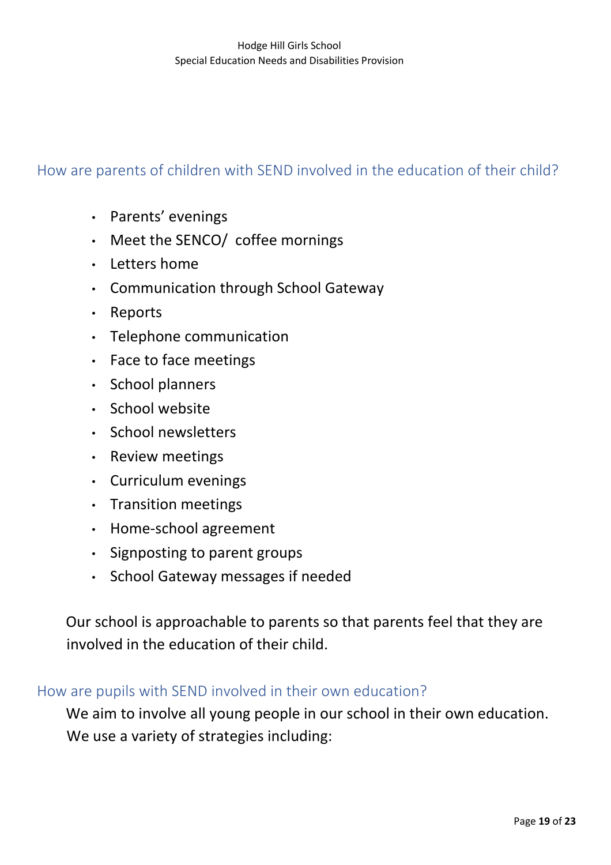## <span id="page-18-0"></span>How are parents of children with SEND involved in the education of their child?

- Parents' evenings
- Meet the SENCO/ coffee mornings
- Letters home
- Communication through School Gateway
- Reports
- Telephone communication
- Face to face meetings
- School planners
- School website
- School newsletters
- Review meetings
- Curriculum evenings
- Transition meetings
- Home-school agreement
- Signposting to parent groups
- School Gateway messages if needed

Our school is approachable to parents so that parents feel that they are involved in the education of their child.

#### <span id="page-18-1"></span>How are pupils with SEND involved in their own education?

We aim to involve all young people in our school in their own education. We use a variety of strategies including: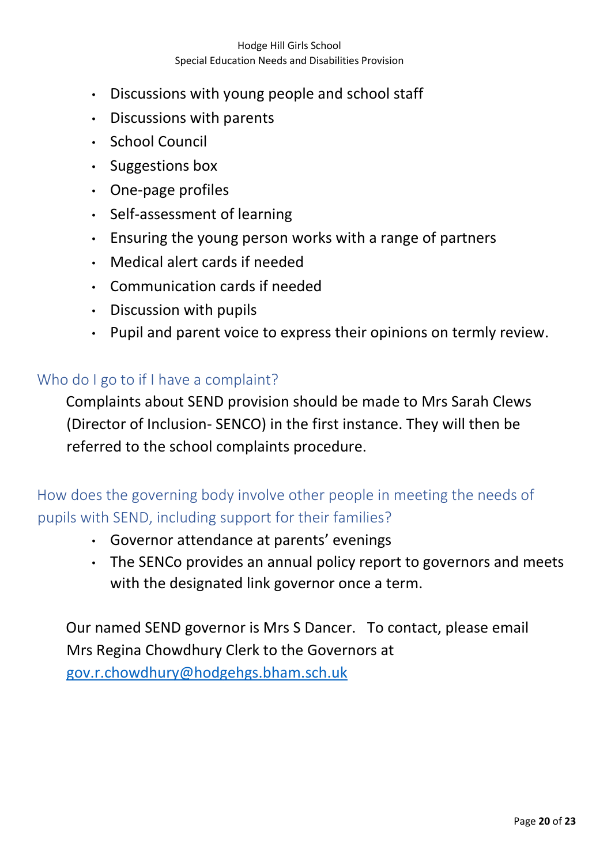- Discussions with young people and school staff
- Discussions with parents
- School Council
- Suggestions box
- One-page profiles
- Self-assessment of learning
- Ensuring the young person works with a range of partners
- Medical alert cards if needed
- Communication cards if needed
- Discussion with pupils
- Pupil and parent voice to express their opinions on termly review.

#### <span id="page-19-0"></span>Who do I go to if I have a complaint?

Complaints about SEND provision should be made to Mrs Sarah Clews (Director of Inclusion- SENCO) in the first instance. They will then be referred to the school complaints procedure.

<span id="page-19-1"></span>How does the governing body involve other people in meeting the needs of pupils with SEND, including support for their families?

- Governor attendance at parents' evenings
- The SENCo provides an annual policy report to governors and meets with the designated link governor once a term.

Our named SEND governor is Mrs S Dancer. To contact, please email Mrs Regina Chowdhury Clerk to the Governors at [gov.r.chowdhury@hodgehgs.bham.sch.uk](mailto:gov.r.chowdhury@hodgehgs.bham.sch.uk)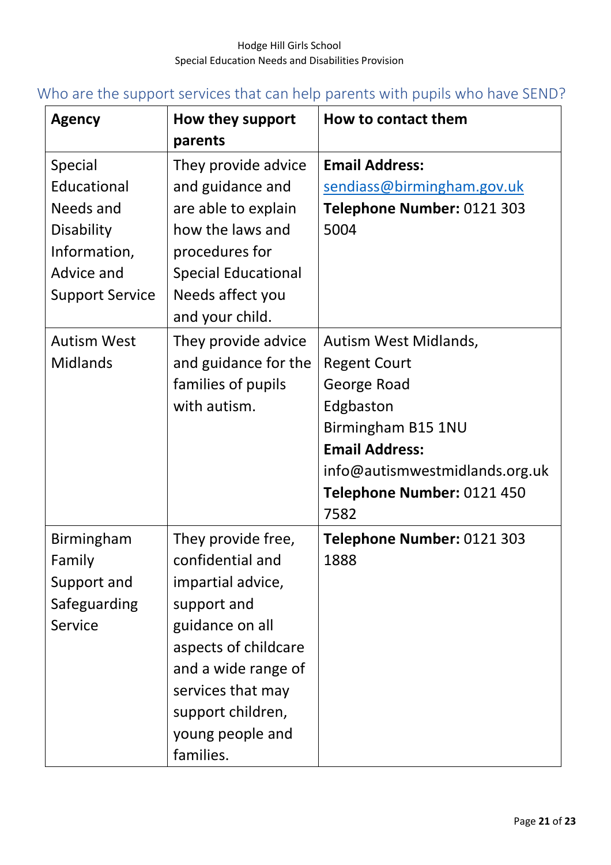# <span id="page-20-0"></span>Who are the support services that can help parents with pupils who have SEND?

| <b>Agency</b>                                                                                                                   | How they support<br>parents                                                                                                                                                                                             | How to contact them                                                                                                                                                    |
|---------------------------------------------------------------------------------------------------------------------------------|-------------------------------------------------------------------------------------------------------------------------------------------------------------------------------------------------------------------------|------------------------------------------------------------------------------------------------------------------------------------------------------------------------|
| Special<br>Educational<br>Needs and<br>Disability<br>Information,<br>Advice and<br><b>Support Service</b><br><b>Autism West</b> | They provide advice<br>and guidance and<br>are able to explain<br>how the laws and<br>procedures for<br><b>Special Educational</b><br>Needs affect you<br>and your child.<br>They provide advice                        | <b>Email Address:</b><br>sendiass@birmingham.gov.uk<br>Telephone Number: 0121 303<br>5004<br>Autism West Midlands,                                                     |
| <b>Midlands</b>                                                                                                                 | and guidance for the<br>families of pupils<br>with autism.                                                                                                                                                              | <b>Regent Court</b><br>George Road<br>Edgbaston<br>Birmingham B15 1NU<br><b>Email Address:</b><br>info@autismwestmidlands.org.uk<br>Telephone Number: 0121 450<br>7582 |
| <b>Birmingham</b><br>Family<br>Support and<br>Safeguarding<br>Service                                                           | They provide free,<br>confidential and<br>impartial advice,<br>support and<br>guidance on all<br>aspects of childcare<br>and a wide range of<br>services that may<br>support children,<br>young people and<br>families. | Telephone Number: 0121 303<br>1888                                                                                                                                     |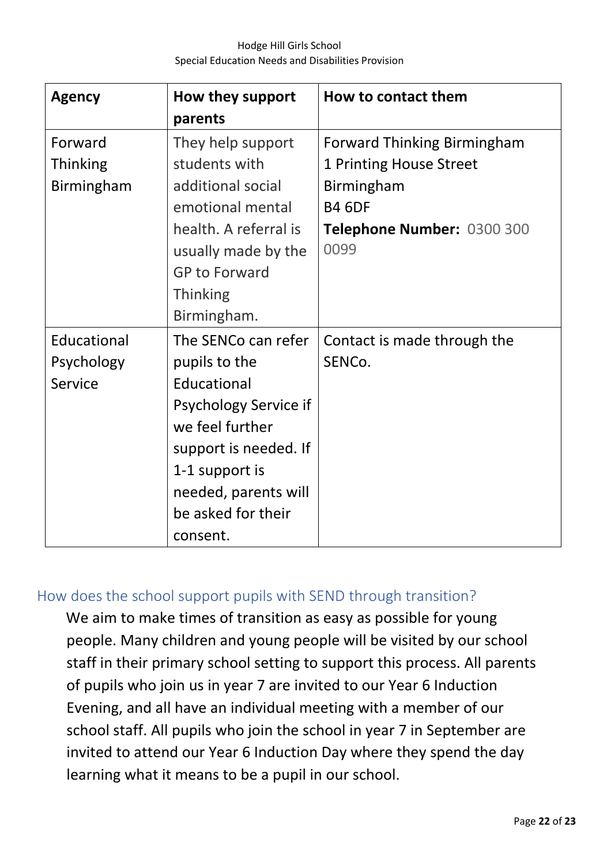| <b>Agency</b>   | How they support<br>parents | How to contact them                |
|-----------------|-----------------------------|------------------------------------|
| Forward         | They help support           | <b>Forward Thinking Birmingham</b> |
| <b>Thinking</b> | students with               | 1 Printing House Street            |
| Birmingham      | additional social           | Birmingham                         |
|                 | emotional mental            | <b>B4 6DF</b>                      |
|                 | health. A referral is       | Telephone Number: 0300 300         |
|                 | usually made by the         | 0099                               |
|                 | <b>GP to Forward</b>        |                                    |
|                 | <b>Thinking</b>             |                                    |
|                 | Birmingham.                 |                                    |
| Educational     | The SENCo can refer         | Contact is made through the        |
| Psychology      | pupils to the               | SENCo.                             |
| Service         | Educational                 |                                    |
|                 | Psychology Service if       |                                    |
|                 | we feel further             |                                    |
|                 | support is needed. If       |                                    |
|                 | 1-1 support is              |                                    |
|                 | needed, parents will        |                                    |
|                 | be asked for their          |                                    |
|                 | consent.                    |                                    |

## <span id="page-21-0"></span>How does the school support pupils with SEND through transition?

We aim to make times of transition as easy as possible for young people. Many children and young people will be visited by our school staff in their primary school setting to support this process. All parents of pupils who join us in year 7 are invited to our Year 6 Induction Evening, and all have an individual meeting with a member of our school staff. All pupils who join the school in year 7 in September are invited to attend our Year 6 Induction Day where they spend the day learning what it means to be a pupil in our school.